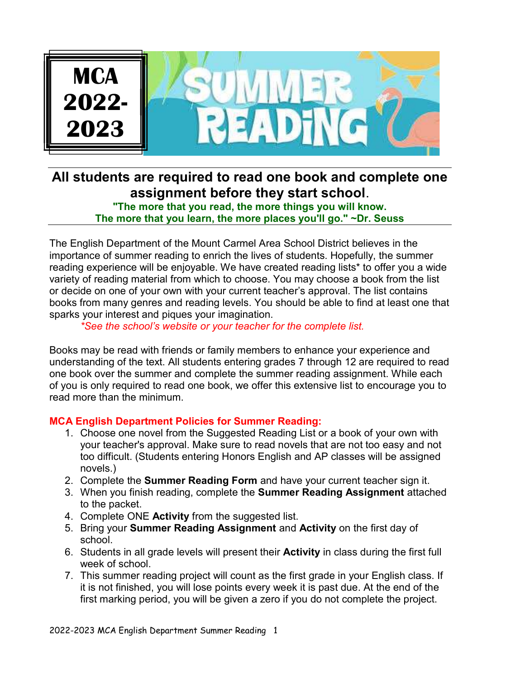

## All students are required to read one book and complete one assignment before they start school.

"The more that you read, the more things you will know. The more that you learn, the more places you'll go." ~Dr. Seuss

The English Department of the Mount Carmel Area School District believes in the importance of summer reading to enrich the lives of students. Hopefully, the summer reading experience will be enjoyable. We have created reading lists\* to offer you a wide variety of reading material from which to choose. You may choose a book from the list or decide on one of your own with your current teacher's approval. The list contains books from many genres and reading levels. You should be able to find at least one that sparks your interest and piques your imagination.

\*See the school's website or your teacher for the complete list.

Books may be read with friends or family members to enhance your experience and understanding of the text. All students entering grades 7 through 12 are required to read one book over the summer and complete the summer reading assignment. While each of you is only required to read one book, we offer this extensive list to encourage you to read more than the minimum.

## MCA English Department Policies for Summer Reading:

- 1. Choose one novel from the Suggested Reading List or a book of your own with your teacher's approval. Make sure to read novels that are not too easy and not too difficult. (Students entering Honors English and AP classes will be assigned novels.)
- 2. Complete the **Summer Reading Form** and have your current teacher sign it.
- 3. When you finish reading, complete the Summer Reading Assignment attached to the packet.
- 4. Complete ONE Activity from the suggested list.
- 5. Bring your Summer Reading Assignment and Activity on the first day of school.
- 6. Students in all grade levels will present their Activity in class during the first full week of school.
- 7. This summer reading project will count as the first grade in your English class. If it is not finished, you will lose points every week it is past due. At the end of the first marking period, you will be given a zero if you do not complete the project.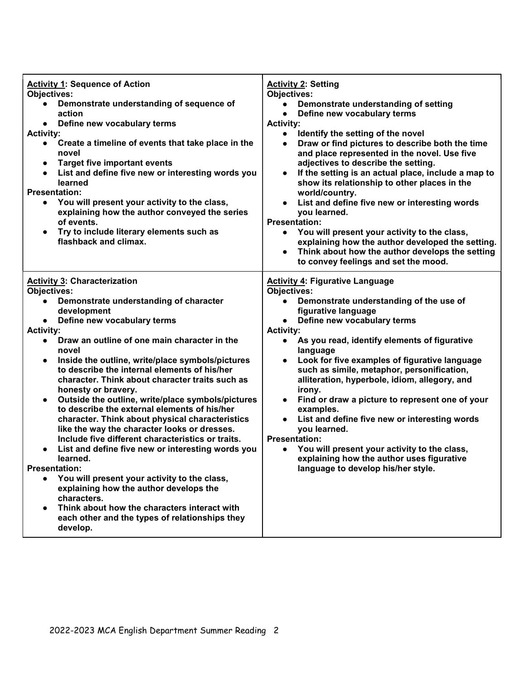| <b>Activity 1: Sequence of Action</b><br><b>Objectives:</b><br>Demonstrate understanding of sequence of<br>$\bullet$<br>action<br>Define new vocabulary terms<br><b>Activity:</b><br>Create a timeline of events that take place in the<br>$\bullet$<br>novel<br><b>Target five important events</b><br>$\bullet$<br>List and define five new or interesting words you<br>learned<br><b>Presentation:</b><br>You will present your activity to the class,<br>explaining how the author conveyed the series<br>of events.<br>Try to include literary elements such as<br>flashback and climax.<br><b>Activity 3: Characterization</b>                                                                                                                                                                                                                                                                                                                                                                         | <b>Activity 2: Setting</b><br><b>Objectives:</b><br>Demonstrate understanding of setting<br>$\bullet$<br>Define new vocabulary terms<br>$\bullet$<br><b>Activity:</b><br>Identify the setting of the novel<br>$\bullet$<br>Draw or find pictures to describe both the time<br>$\bullet$<br>and place represented in the novel. Use five<br>adjectives to describe the setting.<br>If the setting is an actual place, include a map to<br>$\bullet$<br>show its relationship to other places in the<br>world/country.<br>List and define five new or interesting words<br>$\bullet$<br>you learned.<br><b>Presentation:</b><br>You will present your activity to the class,<br>$\bullet$<br>explaining how the author developed the setting.<br>Think about how the author develops the setting<br>$\bullet$<br>to convey feelings and set the mood.<br><b>Activity 4: Figurative Language</b> |
|--------------------------------------------------------------------------------------------------------------------------------------------------------------------------------------------------------------------------------------------------------------------------------------------------------------------------------------------------------------------------------------------------------------------------------------------------------------------------------------------------------------------------------------------------------------------------------------------------------------------------------------------------------------------------------------------------------------------------------------------------------------------------------------------------------------------------------------------------------------------------------------------------------------------------------------------------------------------------------------------------------------|-----------------------------------------------------------------------------------------------------------------------------------------------------------------------------------------------------------------------------------------------------------------------------------------------------------------------------------------------------------------------------------------------------------------------------------------------------------------------------------------------------------------------------------------------------------------------------------------------------------------------------------------------------------------------------------------------------------------------------------------------------------------------------------------------------------------------------------------------------------------------------------------------|
| Objectives:<br>Demonstrate understanding of character<br>$\bullet$<br>development<br>Define new vocabulary terms<br>$\bullet$<br><b>Activity:</b><br>Draw an outline of one main character in the<br>$\bullet$<br>novel<br>Inside the outline, write/place symbols/pictures<br>$\bullet$<br>to describe the internal elements of his/her<br>character. Think about character traits such as<br>honesty or bravery.<br>Outside the outline, write/place symbols/pictures<br>$\bullet$<br>to describe the external elements of his/her<br>character. Think about physical characteristics<br>like the way the character looks or dresses.<br>Include five different characteristics or traits.<br>List and define five new or interesting words you<br>learned.<br><b>Presentation:</b><br>You will present your activity to the class,<br>explaining how the author develops the<br>characters.<br>Think about how the characters interact with<br>each other and the types of relationships they<br>develop. | <b>Objectives:</b><br>Demonstrate understanding of the use of<br>$\bullet$<br>figurative language<br>Define new vocabulary terms<br>$\bullet$<br><b>Activity:</b><br>As you read, identify elements of figurative<br>$\bullet$<br>language<br>Look for five examples of figurative language<br>$\bullet$<br>such as simile, metaphor, personification,<br>alliteration, hyperbole, idiom, allegory, and<br>irony.<br>Find or draw a picture to represent one of your<br>$\bullet$<br>examples.<br>List and define five new or interesting words<br>$\bullet$<br>vou learned.<br><b>Presentation:</b><br>You will present your activity to the class,<br>$\bullet$<br>explaining how the author uses figurative<br>language to develop his/her style.                                                                                                                                          |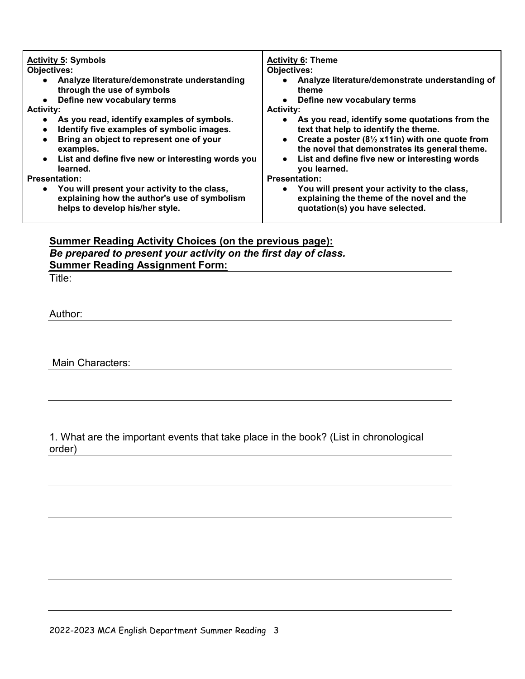| <b>Activity 5: Symbols</b><br><b>Objectives:</b><br>• Analyze literature/demonstrate understanding<br>through the use of symbols<br>• Define new vocabulary terms<br><b>Activity:</b><br>As you read, identify examples of symbols.<br>Identify five examples of symbolic images.<br>$\bullet$<br>Bring an object to represent one of your<br>examples.<br>• List and define five new or interesting words you<br>learned.<br><b>Presentation:</b><br>• You will present your activity to the class,<br>explaining how the author's use of symbolism<br>helps to develop his/her style. | <b>Activity 6: Theme</b><br>Objectives:<br>Analyze literature/demonstrate understanding of<br>theme<br>Define new vocabulary terms<br><b>Activity:</b><br>As you read, identify some quotations from the<br>text that help to identify the theme.<br>Create a poster $(8\frac{1}{2} \times 11)$ with one quote from<br>the novel that demonstrates its general theme.<br>List and define five new or interesting words<br>you learned.<br><b>Presentation:</b><br>You will present your activity to the class,<br>$\bullet$<br>explaining the theme of the novel and the<br>quotation(s) you have selected. |
|-----------------------------------------------------------------------------------------------------------------------------------------------------------------------------------------------------------------------------------------------------------------------------------------------------------------------------------------------------------------------------------------------------------------------------------------------------------------------------------------------------------------------------------------------------------------------------------------|-------------------------------------------------------------------------------------------------------------------------------------------------------------------------------------------------------------------------------------------------------------------------------------------------------------------------------------------------------------------------------------------------------------------------------------------------------------------------------------------------------------------------------------------------------------------------------------------------------------|
|                                                                                                                                                                                                                                                                                                                                                                                                                                                                                                                                                                                         |                                                                                                                                                                                                                                                                                                                                                                                                                                                                                                                                                                                                             |

## Summer Reading Activity Choices (on the previous page): Be prepared to present your activity on the first day of class. Summer Reading Assignment Form:

Title:

Author:

Main Characters:

1. What are the important events that take place in the book? (List in chronological order)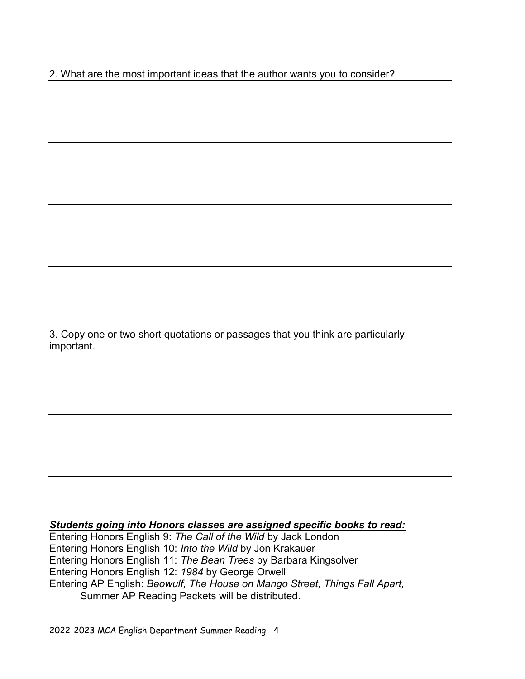2. What are the most important ideas that the author wants you to consider?

3. Copy one or two short quotations or passages that you think are particularly important.

Students going into Honors classes are assigned specific books to read:

Entering Honors English 9: The Call of the Wild by Jack London Entering Honors English 10: Into the Wild by Jon Krakauer Entering Honors English 11: The Bean Trees by Barbara Kingsolver Entering Honors English 12: 1984 by George Orwell Entering AP English: Beowulf, The House on Mango Street, Things Fall Apart, Summer AP Reading Packets will be distributed.